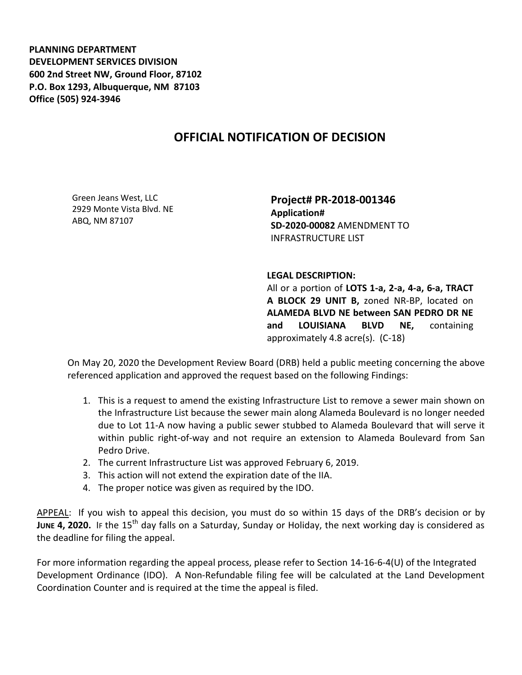**PLANNING DEPARTMENT DEVELOPMENT SERVICES DIVISION 600 2nd Street NW, Ground Floor, 87102 P.O. Box 1293, Albuquerque, NM 87103 Office (505) 924-3946** 

## **OFFICIAL NOTIFICATION OF DECISION**

Green Jeans West, LLC 2929 Monte Vista Blvd. NE ABQ, NM 87107

**Project# PR-2018-001346 Application# SD-2020-00082** AMENDMENT TO INFRASTRUCTURE LIST

## **LEGAL DESCRIPTION:**

All or a portion of **LOTS 1-a, 2-a, 4-a, 6-a, TRACT A BLOCK 29 UNIT B,** zoned NR-BP, located on **ALAMEDA BLVD NE between SAN PEDRO DR NE and LOUISIANA BLVD NE,** containing approximately 4.8 acre(s). (C-18)

On May 20, 2020 the Development Review Board (DRB) held a public meeting concerning the above referenced application and approved the request based on the following Findings:

- 1. This is a request to amend the existing Infrastructure List to remove a sewer main shown on the Infrastructure List because the sewer main along Alameda Boulevard is no longer needed due to Lot 11-A now having a public sewer stubbed to Alameda Boulevard that will serve it within public right-of-way and not require an extension to Alameda Boulevard from San Pedro Drive.
- 2. The current Infrastructure List was approved February 6, 2019.
- 3. This action will not extend the expiration date of the IIA.
- 4. The proper notice was given as required by the IDO.

APPEAL: If you wish to appeal this decision, you must do so within 15 days of the DRB's decision or by **JUNE 4. 2020.** IF the 15<sup>th</sup> day falls on a Saturday, Sunday or Holiday, the next working day is considered as the deadline for filing the appeal.

For more information regarding the appeal process, please refer to Section 14-16-6-4(U) of the Integrated Development Ordinance (IDO). A Non-Refundable filing fee will be calculated at the Land Development Coordination Counter and is required at the time the appeal is filed.